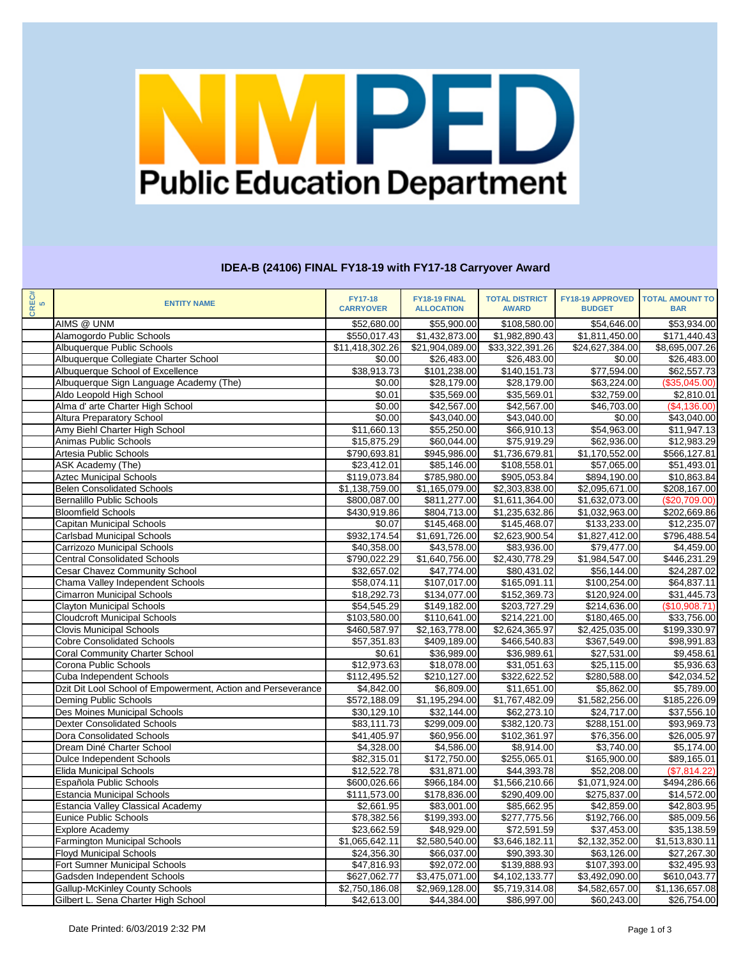

### **IDEA-B (24106) FINAL FY18-19 with FY17-18 Carryover Award**

| CREC#<br>5 | <b>ENTITY NAME</b>                                           | <b>FY17-18</b><br><b>CARRYOVER</b> | FY18-19 FINAL<br><b>ALLOCATION</b> | <b>TOTAL DISTRICT</b><br><b>AWARD</b> | FY18-19 APPROVED<br><b>BUDGET</b> | <b>TOTAL AMOUNT TO</b><br><b>BAR</b> |
|------------|--------------------------------------------------------------|------------------------------------|------------------------------------|---------------------------------------|-----------------------------------|--------------------------------------|
|            | AIMS @ UNM                                                   | \$52,680.00                        | \$55,900.00                        | \$108,580.00                          | \$54,646.00                       | \$53,934.00                          |
|            | Alamogordo Public Schools                                    | \$550,017.43                       | \$1,432,873.00                     | \$1,982,890.43                        | \$1,811,450.00                    | \$171,440.43                         |
|            | Albuquerque Public Schools                                   | \$11,418,302.26                    | \$21,904,089.00                    | \$33,322,391.26                       | \$24,627,384.00                   | \$8,695,007.26                       |
|            | Albuquerque Collegiate Charter School                        | \$0.00                             | \$26,483.00                        | \$26,483.00                           | \$0.00                            | \$26,483.00                          |
|            | Albuquerque School of Excellence                             | \$38,913.73                        | \$101,238.00                       | \$140,151.73                          | \$77,594.00                       | \$62,557.73                          |
|            | Albuquerque Sign Language Academy (The)                      | \$0.00                             | \$28,179.00                        | \$28,179.00                           | \$63,224.00                       | (\$35,045.00)                        |
|            | Aldo Leopold High School                                     | \$0.01                             | \$35,569.00                        | \$35,569.01                           | \$32,759.00                       | \$2,810.01                           |
|            | Alma d' arte Charter High School                             | \$0.00                             | \$42,567.00                        | \$42,567.00                           | \$46,703.00                       | (\$4,136.00)                         |
|            | <b>Altura Preparatory School</b>                             | \$0.00                             | \$43,040.00                        | \$43,040.00                           | \$0.00                            | \$43,040.00                          |
|            | Amy Biehl Charter High School                                | \$11,660.13                        | \$55,250.00                        | \$66,910.13                           | \$54,963.00                       | \$11,947.13                          |
|            | Animas Public Schools                                        | \$15,875.29                        | \$60,044.00                        | \$75,919.29                           | \$62,936.00                       | \$12,983.29                          |
|            | Artesia Public Schools                                       |                                    | \$945,986.00                       | $\overline{\$1,736,679.81}$           | \$1,170,552.00                    | \$566,127.81                         |
|            |                                                              | \$790,693.81                       |                                    |                                       |                                   |                                      |
|            | ASK Academy (The)                                            | \$23,412.01                        | \$85,146.00                        | \$108,558.01                          | \$57,065.00                       | \$51,493.01                          |
|            | <b>Aztec Municipal Schools</b>                               | \$119,073.84                       | \$785,980.00                       | \$905,053.84                          | \$894,190.00                      | \$10,863.84                          |
|            | <b>Belen Consolidated Schools</b>                            | \$1,138,759.00                     | \$1,165,079.00                     | \$2,303,838.00                        | \$2,095,671.00                    | \$208,167.00                         |
|            | <b>Bernalillo Public Schools</b>                             | \$800,087.00                       | \$811,277.00                       | \$1,611,364.00                        | \$1,632,073.00                    | (\$20,709.00)                        |
|            | <b>Bloomfield Schools</b>                                    | \$430,919.86                       | \$804,713.00                       | \$1,235,632.86                        | \$1,032,963.00                    | \$202,669.86                         |
|            | <b>Capitan Municipal Schools</b>                             | \$0.07                             | \$145,468.00                       | \$145,468.07                          | \$133,233.00                      | \$12,235.07                          |
|            | <b>Carlsbad Municipal Schools</b>                            | \$932,174.54                       | \$1,691,726.00                     | \$2,623,900.54                        | \$1,827,412.00                    | \$796,488.54                         |
|            | Carrizozo Municipal Schools                                  | \$40,358.00                        | \$43,578.00                        | \$83,936.00                           | \$79,477.00                       | \$4,459.00                           |
|            | <b>Central Consolidated Schools</b>                          | \$790,022.29                       | $\overline{$1,640,756.00}$         | $\overline{$2,430,778.29}$            | \$1,984,547.00                    | $\overline{$446,231.29}$             |
|            | <b>Cesar Chavez Community School</b>                         | \$32,657.02                        | \$47,774.00                        | \$80,431.02                           | \$56,144.00                       | \$24,287.02                          |
|            | Chama Valley Independent Schools                             | \$58,074.11                        | \$107,017.00                       | \$165,091.11                          | \$100,254.00                      | \$64,837.11                          |
|            | <b>Cimarron Municipal Schools</b>                            | \$18,292.73                        | \$134,077.00                       | \$152,369.73                          | \$120,924.00                      | \$31,445.73                          |
|            | <b>Clayton Municipal Schools</b>                             | \$54,545.29                        | \$149,182.00                       | \$203,727.29                          | \$214,636.00                      | (\$10,908.71)                        |
|            | <b>Cloudcroft Municipal Schools</b>                          | \$103,580.00                       | \$110,641.00                       | \$214,221.00                          | \$180,465.00                      | \$33,756.00                          |
|            | <b>Clovis Municipal Schools</b>                              | \$460,587.97                       | $\overline{$2,163,778.00}$         | $\overline{$2,624,365.97}$            | \$2,425,035.00                    | \$199,330.97                         |
|            | <b>Cobre Consolidated Schools</b>                            | \$57,351.83                        | \$409,189.00                       | \$466,540.83                          | \$367,549.00                      | \$98,991.83                          |
|            | <b>Coral Community Charter School</b>                        | \$0.61                             | \$36,989.00                        | \$36,989.61                           | \$27,531.00                       | \$9,458.61                           |
|            | Corona Public Schools                                        | \$12,973.63                        | \$18,078.00                        | \$31,051.63                           | \$25,115.00                       | \$5,936.63                           |
|            | Cuba Independent Schools                                     | \$112,495.52                       | \$210,127.00                       | \$322,622.52                          | \$280,588.00                      | \$42,034.52                          |
|            | Dzit Dit Lool School of Empowerment, Action and Perseverance | \$4,842.00                         | \$6,809.00                         | \$11,651.00                           | \$5,862.00                        | \$5,789.00                           |
|            | Deming Public Schools                                        | \$572,188.09                       | \$1,195,294.00                     | \$1,767,482.09                        | \$1,582,256.00                    | \$185,226.09                         |
|            | Des Moines Municipal Schools                                 | \$30,129.10                        | \$32,144.00                        | \$62,273.10                           | \$24,717.00                       | \$37,556.10                          |
|            | <b>Dexter Consolidated Schools</b>                           | \$83,111.73                        | \$299,009.00                       | \$382,120.73                          | \$288,151.00                      | \$93,969.73                          |
|            | <b>Dora Consolidated Schools</b>                             | \$41,405.97                        | \$60,956.00                        | \$102,361.97                          | \$76,356.00                       | \$26,005.97                          |
|            | Dream Diné Charter School                                    | \$4,328.00                         | \$4,586.00                         | \$8,914.00                            | \$3,740.00                        | \$5,174.00                           |
|            | Dulce Independent Schools                                    | \$82,315.01                        | \$172,750.00                       | \$255,065.01                          | \$165,900.00                      | \$89,165.01                          |
|            | <b>Elida Municipal Schools</b>                               | \$12,522.78                        | \$31,871.00                        | \$44,393.78                           | \$52,208.00                       | (\$7,814.22)                         |
|            | Española Public Schools                                      | \$600,026.66                       | \$966,184.00                       | \$1,566,210.66                        | \$1,071,924.00                    | \$494,286.66                         |
|            | <b>Estancia Municipal Schools</b>                            | \$111,573.00                       | \$178,836.00                       | \$290,409.00                          | \$275,837.00                      | \$14,572.00                          |
|            | <b>Estancia Valley Classical Academy</b>                     | \$2,661.95                         | \$83,001.00                        | \$85,662.95                           | \$42,859.00                       | \$42,803.95                          |
|            | Eunice Public Schools                                        | \$78,382.56                        | \$199,393.00                       | \$277,775.56                          | \$192,766.00                      | \$85,009.56                          |
|            | <b>Explore Academy</b>                                       | \$23,662.59                        | \$48,929.00                        | \$72,591.59                           | \$37,453.00                       | \$35,138.59                          |
|            | <b>Farmington Municipal Schools</b>                          | \$1,065,642.11                     | \$2,580,540.00                     | \$3,646,182.11                        | \$2,132,352.00                    | \$1,513,830.11                       |
|            | <b>Floyd Municipal Schools</b>                               | \$24,356.30                        | \$66,037.00                        | \$90,393.30                           | \$63,126.00                       | \$27,267.30                          |
|            | Fort Sumner Municipal Schools                                | \$47,816.93                        | \$92,072.00                        | \$139,888.93                          | \$107,393.00                      | \$32,495.93                          |
|            | Gadsden Independent Schools                                  | \$627,062.77                       | \$3,475,071.00                     | \$4,102,133.77                        | \$3,492,090.00                    | \$610,043.77                         |
|            | <b>Gallup-McKinley County Schools</b>                        | \$2,750,186.08                     | \$2,969,128.00                     | \$5,719,314.08                        | \$4,582,657.00                    | \$1,136,657.08                       |
|            | Gilbert L. Sena Charter High School                          | \$42,613.00                        | \$44,384.00                        | \$86,997.00                           | \$60,243.00                       | \$26,754.00                          |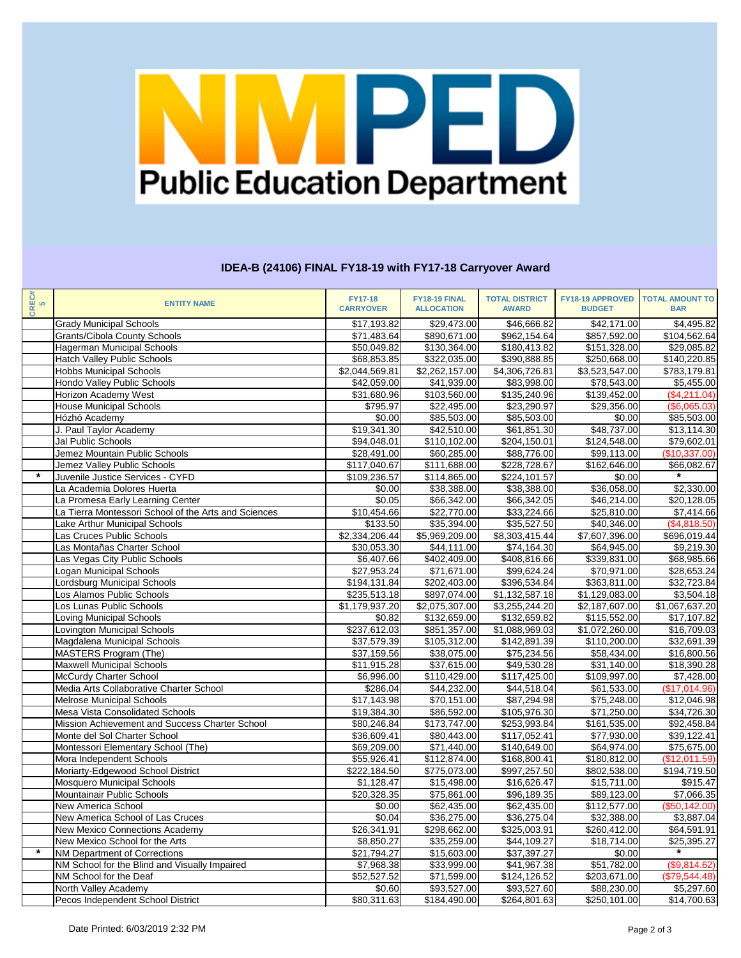# Public Education Department

## **IDEA-B (24106) FINAL FY18-19 with FY17-18 Carryover Award**

| CREC#<br>5 | <b>ENTITY NAME</b>                                   | <b>FY17-18</b><br><b>CARRYOVER</b> | FY18-19 FINAL<br><b>ALLOCATION</b> | <b>TOTAL DISTRICT</b><br><b>AWARD</b> | <b>FY18-19 APPROVED</b><br><b>BUDGET</b> | <b>TOTAL AMOUNT TO</b><br><b>BAR</b> |
|------------|------------------------------------------------------|------------------------------------|------------------------------------|---------------------------------------|------------------------------------------|--------------------------------------|
|            | <b>Grady Municipal Schools</b>                       | \$17,193.82                        | \$29,473.00                        | \$46,666.82                           | \$42,171.00                              | \$4,495.82                           |
|            | <b>Grants/Cibola County Schools</b>                  | \$71,483.64                        | \$890,671.00                       | \$962,154.64                          | \$857,592.00                             | $\overline{$104,562.64}$             |
|            | Hagerman Municipal Schools                           | \$50,049.82                        | \$130,364.00                       | \$180,413.82                          | \$151,328.00                             | \$29,085.82                          |
|            | <b>Hatch Valley Public Schools</b>                   | \$68,853.85                        | \$322,035.00                       | \$390,888.85                          | \$250,668.00                             | \$140,220.85                         |
|            | <b>Hobbs Municipal Schools</b>                       | \$2,044,569.81                     | \$2,262,157.00                     | \$4,306,726.81                        | \$3,523,547.00                           | \$783,179.81                         |
|            | Hondo Valley Public Schools                          | \$42,059.00                        | \$41,939.00                        | \$83,998.00                           | \$78,543.00                              | \$5,455.00                           |
|            | Horizon Academy West                                 | \$31,680.96                        | \$103,560.00                       | $\overline{$}135,240.96$              | \$139,452.00                             | (\$4,211.04)                         |
|            | <b>House Municipal Schools</b>                       | \$795.97                           | \$22,495.00                        | \$23,290.97                           | \$29,356.00                              | (\$6,065.03)                         |
|            | Hózhó Academy                                        | \$0.00                             | \$85,503.00                        | \$85,503.00                           | \$0.00                                   | \$85,503.00                          |
|            | J. Paul Taylor Academy                               | \$19,341.30                        | \$42,510.00                        | \$61,851.30                           | \$48,737.00                              | \$13,114.30                          |
|            | Jal Public Schools                                   | \$94,048.01                        | \$110,102.00                       | \$204,150.01                          | \$124,548.00                             | \$79,602.01                          |
|            | Jemez Mountain Public Schools                        | \$28,491.00                        | \$60,285.00                        | \$88,776.00                           | \$99,113.00                              | (\$10,337.00)                        |
|            | Jemez Valley Public Schools                          | \$117,040.67                       | \$111,688.00                       | \$228,728.67                          | \$162,646.00                             | \$66,082.67                          |
| $\star$    | Juvenile Justice Services - CYFD                     | \$109,236.57                       | \$114,865.00                       | \$224,101.57                          | \$0.00                                   | $\star$                              |
|            | La Academia Dolores Huerta                           | \$0.00                             | \$38,388.00                        | \$38,388.00                           | \$36,058.00                              | \$2,330.00                           |
|            | La Promesa Early Learning Center                     | \$0.05                             | \$66,342.00                        | \$66,342.05                           | \$46,214.00                              | \$20,128.05                          |
|            | La Tierra Montessori School of the Arts and Sciences | \$10,454.66                        | \$22,770.00                        | \$33,224.66                           | \$25,810.00                              | \$7,414.66                           |
|            | Lake Arthur Municipal Schools                        | \$133.50                           | \$35,394.00                        | \$35,527.50                           | \$40,346.00                              | (\$4,818.50)                         |
|            | Las Cruces Public Schools                            | \$2,334,206.44                     | \$5,969,209.00                     | $\overline{$8,303,415.44}$            | \$7,607,396.00                           | \$696,019.44                         |
|            | Las Montañas Charter School                          | \$30,053.30                        | \$44,111.00                        | \$74,164.30                           | \$64,945.00                              | \$9,219.30                           |
|            | Las Vegas City Public Schools                        | \$6,407.66                         | $\overline{$402,409.00}$           | \$408,816.66                          | \$339,831.00                             | \$68,985.66                          |
|            | Logan Municipal Schools                              | \$27,953.24                        | \$71,671.00                        | \$99,624.24                           | \$70,971.00                              | \$28,653.24                          |
|            | Lordsburg Municipal Schools                          | \$194,131.84                       | \$202,403.00                       | \$396,534.84                          | \$363,811.00                             | \$32,723.84                          |
|            | Los Alamos Public Schools                            | \$235,513.18                       | \$897,074.00                       | \$1,132,587.18                        | $\overline{\$1,129,083.00}$              | \$3,504.18                           |
|            | Los Lunas Public Schools                             | $\overline{1,179,937.20}$          | \$2,075,307.00                     | $\overline{33,255,244.20}$            | \$2,187,607.00                           | \$1,067,637.20                       |
|            | Loving Municipal Schools                             | \$0.82                             | \$132,659.00                       | \$132,659.82                          | \$115,552.00                             | \$17,107.82                          |
|            | Lovington Municipal Schools                          | \$237,612.03                       | \$851,357.00                       | \$1,088,969.03                        | \$1,072,260.00                           | \$16,709.03                          |
|            | Magdalena Municipal Schools                          | \$37,579.39                        | \$105,312.00                       | \$142,891.39                          | \$110,200.00                             | \$32,691.39                          |
|            | MASTERS Program (The)                                | \$37,159.56                        | \$38,075.00                        | \$75,234.56                           | \$58,434.00                              | \$16,800.56                          |
|            | <b>Maxwell Municipal Schools</b>                     | \$11,915.28                        | \$37,615.00                        | \$49,530.28                           | \$31,140.00                              | \$18,390.28                          |
|            | <b>McCurdy Charter School</b>                        | \$6,996.00                         | \$110,429.00                       | \$117,425.00                          | \$109,997.00                             | \$7,428.00                           |
|            | Media Arts Collaborative Charter School              | \$286.04                           | \$44,232.00                        | \$44,518.04                           | \$61,533.00                              | (\$17,014.96)                        |
|            | <b>Melrose Municipal Schools</b>                     | \$17,143.98                        | \$70,151.00                        | \$87,294.98                           | \$75,248.00                              | \$12,046.98                          |
|            | Mesa Vista Consolidated Schools                      | \$19,384.30                        | \$86,592.00                        | \$105,976.30                          | \$71,250.00                              | \$34,726.30                          |
|            | Mission Achievement and Success Charter School       | \$80,246.84                        | \$173,747.00                       | \$253,993.84                          | \$161,535.00                             | \$92,458.84                          |
|            | Monte del Sol Charter School                         | \$36,609.41                        | \$80,443.00                        | \$117,052.41                          | \$77,930.00                              | \$39,122.41                          |
|            | Montessori Elementary School (The)                   | \$69,209.00                        | \$71,440.00                        | \$140,649.00                          | \$64,974.00                              | \$75,675.00                          |
|            | Mora Independent Schools                             | \$55,926.41                        | \$112,874.00                       | \$168,800.41                          | \$180,812.00                             | (\$12,011.59)                        |
|            | Moriarty-Edgewood School District                    | \$222,184.50                       | \$775,073.00                       | \$997,257.50                          | \$802,538.00                             | \$194,719.50                         |
|            | <b>Mosquero Municipal Schools</b>                    | \$1,128.47                         | \$15,498.00                        | \$16,626.47                           | \$15,711.00                              | \$915.47                             |
|            | Mountainair Public Schools                           | \$20,328.35                        | \$75,861.00                        | \$96,189.35                           | \$89,123.00                              | \$7,066.35                           |
|            | <b>New America School</b>                            | \$0.00                             | \$62,435.00                        | \$62,435.00                           | \$112,577.00                             | (\$50,142.00)                        |
|            | New America School of Las Cruces                     | \$0.04                             | \$36,275.00                        | \$36,275.04                           | \$32,388.00                              | \$3,887.04                           |
|            | <b>New Mexico Connections Academy</b>                | \$26,341.91                        | \$298,662.00                       | \$325,003.91                          | \$260,412.00                             | \$64,591.91                          |
|            | New Mexico School for the Arts                       | \$8,850.27                         | \$35,259.00                        | \$44,109.27                           | \$18,714.00                              | \$25,395.27                          |
| $\star$    | <b>NM Department of Corrections</b>                  | \$21,794.27                        | \$15,603.00                        | \$37,397.27                           | \$0.00                                   |                                      |
|            | NM School for the Blind and Visually Impaired        | \$7,968.38                         | \$33,999.00                        | \$41,967.38                           | \$51,782.00                              | (\$9,814.62)                         |
|            | NM School for the Deaf                               | \$52,527.52                        | \$71,599.00                        | \$124,126.52                          | \$203,671.00                             | (\$79,544.48)                        |
|            | North Valley Academy                                 | \$0.60                             | \$93,527.00                        | \$93,527.60                           | \$88,230.00                              | \$5,297.60                           |
|            | Pecos Independent School District                    | \$80,311.63                        | \$184,490.00                       | \$264,801.63                          | \$250,101.00                             | \$14,700.63                          |